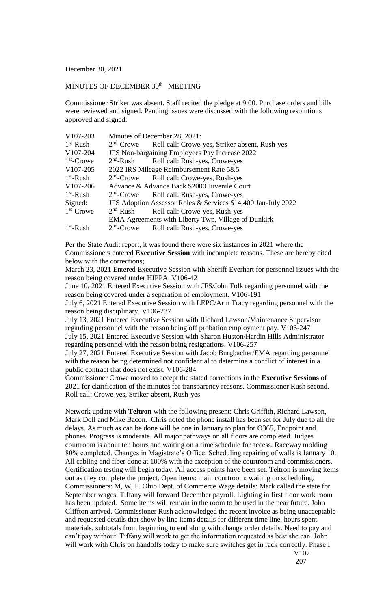## December 30, 2021

## MINUTES OF DECEMBER 30<sup>th</sup> MEETING

Commissioner Striker was absent. Staff recited the pledge at 9:00. Purchase orders and bills were reviewed and signed. Pending issues were discussed with the following resolutions approved and signed:

| V107-203              | Minutes of December 28, 2021:                                 |                                                                       |
|-----------------------|---------------------------------------------------------------|-----------------------------------------------------------------------|
| $1st$ -Rush           |                                                               | 2 <sup>nd</sup> -Crowe Roll call: Crowe-yes, Striker-absent, Rush-yes |
| V107-204              | JFS Non-bargaining Employees Pay Increase 2022                |                                                                       |
| $1st$ -Crowe          |                                                               | 2 <sup>nd</sup> -Rush Roll call: Rush-yes, Crowe-yes                  |
| V <sub>107</sub> -205 | 2022 IRS Mileage Reimbursement Rate 58.5                      |                                                                       |
| $1st$ -Rush           |                                                               | 2 <sup>nd</sup> -Crowe Roll call: Crowe-yes, Rush-yes                 |
| V107-206              | Advance & Advance Back \$2000 Juvenile Court                  |                                                                       |
| $1st$ -Rush           |                                                               | 2 <sup>nd</sup> -Crowe Roll call: Rush-yes, Crowe-yes                 |
| Signed:               | JFS Adoption Assessor Roles & Services \$14,400 Jan-July 2022 |                                                                       |
| $1st$ -Crowe          | $2nd$ -Rush                                                   | Roll call: Crowe-yes, Rush-yes                                        |
|                       | EMA Agreements with Liberty Twp, Village of Dunkirk           |                                                                       |
| $1st$ -Rush           |                                                               | 2 <sup>nd</sup> -Crowe Roll call: Rush-yes, Crowe-yes                 |

Per the State Audit report, it was found there were six instances in 2021 where the Commissioners entered **Executive Session** with incomplete reasons. These are hereby cited below with the corrections;

March 23, 2021 Entered Executive Session with Sheriff Everhart for personnel issues with the reason being covered under HIPPA. V106-42

June 10, 2021 Entered Executive Session with JFS/John Folk regarding personnel with the reason being covered under a separation of employment. V106-191

July 6, 2021 Entered Executive Session with LEPC/Arin Tracy regarding personnel with the reason being disciplinary. V106-237

July 13, 2021 Entered Executive Session with Richard Lawson/Maintenance Supervisor regarding personnel with the reason being off probation employment pay. V106-247 July 15, 2021 Entered Executive Session with Sharon Huston/Hardin Hills Administrator regarding personnel with the reason being resignations. V106-257

July 27, 2021 Entered Executive Session with Jacob Burgbacher/EMA regarding personnel with the reason being determined not confidential to determine a conflict of interest in a public contract that does not exist. V106-284

Commissioner Crowe moved to accept the stated corrections in the **Executive Sessions** of 2021 for clarification of the minutes for transparency reasons. Commissioner Rush second. Roll call: Crowe-yes, Striker-absent, Rush-yes.

Network update with **Teltron** with the following present: Chris Griffith, Richard Lawson, Mark Doll and Mike Bacon. Chris noted the phone install has been set for July due to all the delays. As much as can be done will be one in January to plan for O365, Endpoint and phones. Progress is moderate. All major pathways on all floors are completed. Judges courtroom is about ten hours and waiting on a time schedule for access. Raceway molding 80% completed. Changes in Magistrate's Office. Scheduling repairing of walls is January 10. All cabling and fiber done at 100% with the exception of the courtroom and commissioners. Certification testing will begin today. All access points have been set. Teltron is moving items out as they complete the project. Open items: main courtroom: waiting on scheduling. Commissioners: M, W, F. Ohio Dept. of Commerce Wage details: Mark called the state for September wages. Tiffany will forward December payroll. Lighting in first floor work room has been updated. Some items will remain in the room to be used in the near future. John Cliffton arrived. Commissioner Rush acknowledged the recent invoice as being unacceptable and requested details that show by line items details for different time line, hours spent, materials, subtotals from beginning to end along with change order details. Need to pay and can't pay without. Tiffany will work to get the information requested as best she can. John will work with Chris on handoffs today to make sure switches get in rack correctly. Phase I

V107